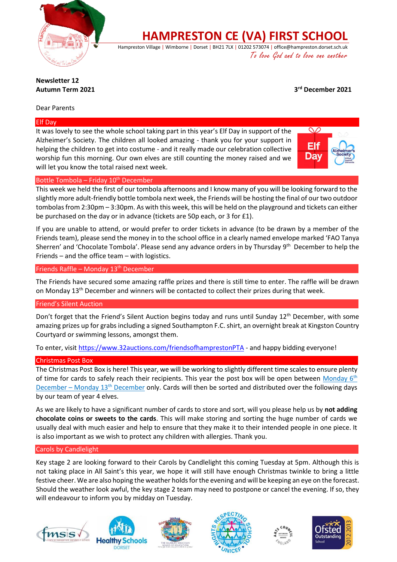

**HAMPRESTON CE (VA) FIRST SCHOOL**

Hampreston Village | Wimborne | Dorset | BH21 7LX | 01202 573074 | office@hampreston.dorset.sch.uk To love God and to love one another

## **Newsletter 12 Autumn Term 2021 3**

**rd December 2021**

## Dear Parents

### Elf Day

It was lovely to see the whole school taking part in this year's Elf Day in support of the Alzheimer's Society. The children all looked amazing - thank you for your support in helping the children to get into costume - and it really made our celebration collective worship fun this morning. Our own elves are still counting the money raised and we will let you know the total raised next week.



### Bottle Tombola – Friday  $10<sup>th</sup>$  December

This week we held the first of our tombola afternoons and I know many of you will be looking forward to the slightly more adult-friendly bottle tombola next week, the Friends will be hosting the final of our two outdoor tombolas from 2:30pm – 3:30pm. As with this week, this will be held on the playground and tickets can either be purchased on the day or in advance (tickets are 50p each, or 3 for £1).

If you are unable to attend, or would prefer to order tickets in advance (to be drawn by a member of the Friends team), please send the money in to the school office in a clearly named envelope marked 'FAO Tanya Sherren' and 'Chocolate Tombola'. Please send any advance orders in by Thursday 9<sup>th</sup> December to help the Friends – and the office team – with logistics.

Friends Raffle - Monday 13<sup>th</sup> December

The Friends have secured some amazing raffle prizes and there is still time to enter. The raffle will be drawn on Monday  $13<sup>th</sup>$  December and winners will be contacted to collect their prizes during that week.

### Friend's Silent Auction

Don't forget that the Friend's Silent Auction begins today and runs until Sunday 12<sup>th</sup> December, with some amazing prizes up for grabs including a signed Southampton F.C. shirt, an overnight break at Kingston Country Courtyard or swimming lessons, amongst them.

To enter, visi[t https://www.32auctions.com/friendsofhamprestonPTA](https://www.32auctions.com/friendsofhamprestonPTA) - and happy bidding everyone!

### Christmas Post Box

The Christmas Post Box is here! This year, we will be working to slightly different time scales to ensure plenty of time for cards to safely reach their recipients. This year the post box will be open between Monday 6<sup>th</sup> December – Monday  $13<sup>th</sup>$  December only. Cards will then be sorted and distributed over the following days by our team of year 4 elves.

As we are likely to have a significant number of cards to store and sort, will you please help us by **not adding chocolate coins or sweets to the cards**. This will make storing and sorting the huge number of cards we usually deal with much easier and help to ensure that they make it to their intended people in one piece. It is also important as we wish to protect any children with allergies. Thank you.

#### Carols by Candlelight

Key stage 2 are looking forward to their Carols by Candlelight this coming Tuesday at 5pm. Although this is not taking place in All Saint's this year, we hope it will still have enough Christmas twinkle to bring a little festive cheer. We are also hoping the weather holds for the evening and will be keeping an eye on the forecast. Should the weather look awful, the key stage 2 team may need to postpone or cancel the evening. If so, they will endeavour to inform you by midday on Tuesday.











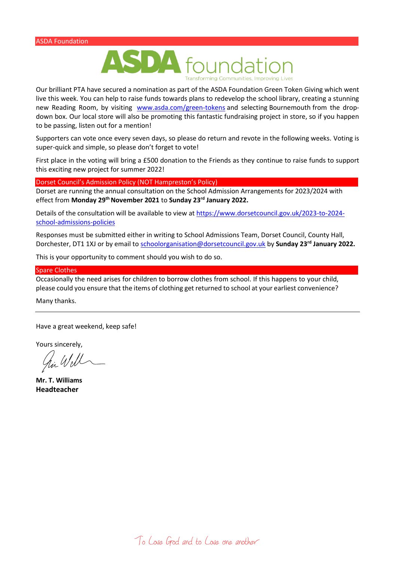

Our brilliant PTA have secured a nomination as part of the ASDA Foundation Green Token Giving which went live this week. You can help to raise funds towards plans to redevelop the school library, creating a stunning new Reading Room, by visiting [www.asda.com/green-tokens](http://www.asda.com/green-tokens) and selecting Bournemouth from the dropdown box. Our local store will also be promoting this fantastic fundraising project in store, so if you happen to be passing, listen out for a mention!

Supporters can vote once every seven days, so please do return and revote in the following weeks. Voting is super-quick and simple, so please don't forget to vote!

First place in the voting will bring a £500 donation to the Friends as they continue to raise funds to support this exciting new project for summer 2022!

Dorset Council's Admission Policy (NOT Hampreston's Policy)

Dorset are running the annual consultation on the School Admission Arrangements for 2023/2024 with effect from **Monday 29th November 2021** to **Sunday 23rd January 2022.** 

Details of the consultation will be available to view a[t https://www.dorsetcouncil.gov.uk/2023-to-2024](https://www.dorsetcouncil.gov.uk/2023-to-2024-school-admissions-policies) [school-admissions-policies](https://www.dorsetcouncil.gov.uk/2023-to-2024-school-admissions-policies)

Responses must be submitted either in writing to School Admissions Team, Dorset Council, County Hall, Dorchester, DT1 1XJ or by email t[o schoolorganisation@dorsetcouncil.gov.uk](mailto:schoolorganisation@dorsetcouncil.gov.uk) by **Sunday 23rd January 2022.** 

This is your opportunity to comment should you wish to do so.

#### Spare Clothes

Occasionally the need arises for children to borrow clothes from school. If this happens to your child, please could you ensure that the items of clothing get returned to school at your earliest convenience?

Many thanks.

Have a great weekend, keep safe!

Yours sincerely,

**Mr. T. Williams Headteacher**

To Love God and to Love one another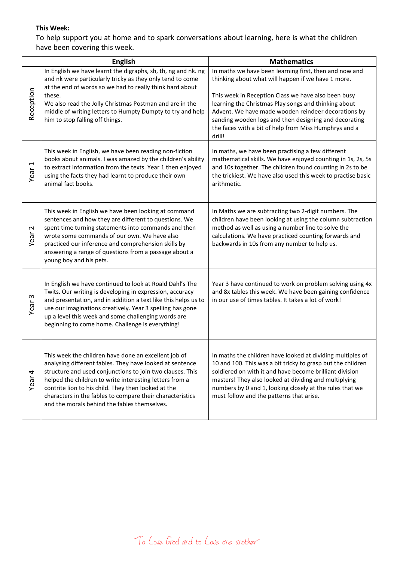# **This Week:**

To help support you at home and to spark conversations about learning, here is what the children have been covering this week.

|                                  | <b>English</b>                                                                                                                                                                                                                                                                                                                                                                                               | <b>Mathematics</b>                                                                                                                                                                                                                                                                                                                                                                                             |
|----------------------------------|--------------------------------------------------------------------------------------------------------------------------------------------------------------------------------------------------------------------------------------------------------------------------------------------------------------------------------------------------------------------------------------------------------------|----------------------------------------------------------------------------------------------------------------------------------------------------------------------------------------------------------------------------------------------------------------------------------------------------------------------------------------------------------------------------------------------------------------|
| Reception                        | In English we have learnt the digraphs, sh, th, ng and nk. ng<br>and nk were particularly tricky as they only tend to come<br>at the end of words so we had to really think hard about<br>these.<br>We also read the Jolly Christmas Postman and are in the<br>middle of writing letters to Humpty Dumpty to try and help<br>him to stop falling off things.                                                 | In maths we have been learning first, then and now and<br>thinking about what will happen if we have 1 more.<br>This week in Reception Class we have also been busy<br>learning the Christmas Play songs and thinking about<br>Advent. We have made wooden reindeer decorations by<br>sanding wooden logs and then designing and decorating<br>the faces with a bit of help from Miss Humphrys and a<br>drill! |
| $\overline{\phantom{0}}$<br>Year | This week in English, we have been reading non-fiction<br>books about animals. I was amazed by the children's ability<br>to extract information from the texts. Year 1 then enjoyed<br>using the facts they had learnt to produce their own<br>animal fact books.                                                                                                                                            | In maths, we have been practising a few different<br>mathematical skills. We have enjoyed counting in 1s, 2s, 5s<br>and 10s together. The children found counting in 2s to be<br>the trickiest. We have also used this week to practise basic<br>arithmetic.                                                                                                                                                   |
| $\sim$<br>Year                   | This week in English we have been looking at command<br>sentences and how they are different to questions. We<br>spent time turning statements into commands and then<br>wrote some commands of our own. We have also<br>practiced our inference and comprehension skills by<br>answering a range of questions from a passage about a<br>young boy and his pets.                                             | In Maths we are subtracting two 2-digit numbers. The<br>children have been looking at using the column subtraction<br>method as well as using a number line to solve the<br>calculations. We have practiced counting forwards and<br>backwards in 10s from any number to help us.                                                                                                                              |
| S<br>Year                        | In English we have continued to look at Roald Dahl's The<br>Twits. Our writing is developing in expression, accuracy<br>and presentation, and in addition a text like this helps us to<br>use our imaginations creatively. Year 3 spelling has gone<br>up a level this week and some challenging words are<br>beginning to come home. Challenge is everything!                                               | Year 3 have continued to work on problem solving using 4x<br>and 8x tables this week. We have been gaining confidence<br>in our use of times tables. It takes a lot of work!                                                                                                                                                                                                                                   |
| 4<br>Year                        | This week the children have done an excellent job of<br>analysing different fables. They have looked at sentence<br>structure and used conjunctions to join two clauses. This<br>helped the children to write interesting letters from a<br>contrite lion to his child. They then looked at the<br>characters in the fables to compare their characteristics<br>and the morals behind the fables themselves. | In maths the children have looked at dividing multiples of<br>10 and 100. This was a bit tricky to grasp but the children<br>soldiered on with it and have become brilliant division<br>masters! They also looked at dividing and multiplying<br>numbers by 0 and 1, looking closely at the rules that we<br>must follow and the patterns that arise.                                                          |